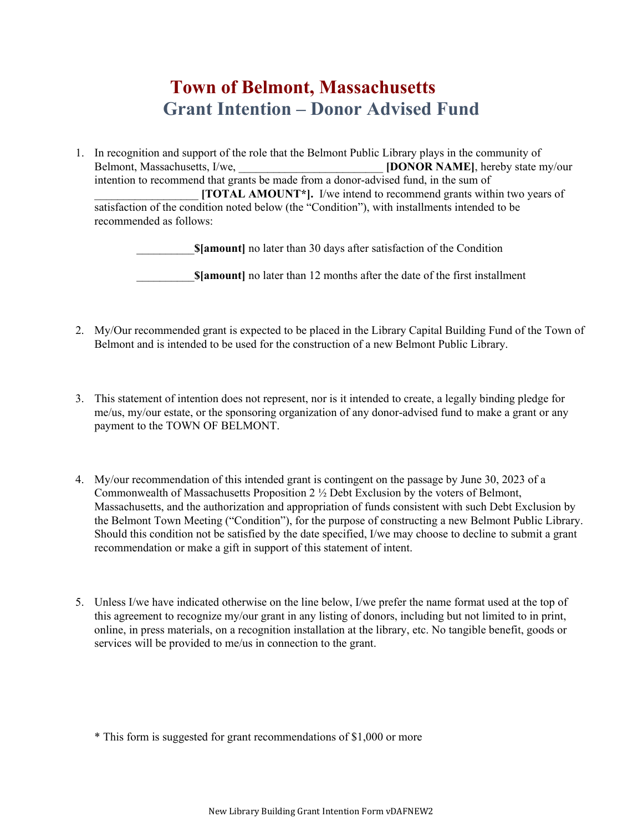## **Town of Belmont, Massachusetts Grant Intention – Donor Advised Fund**

1. In recognition and support of the role that the Belmont Public Library plays in the community of Belmont, Massachusetts, I/we, **[DONOR NAME]**, hereby state my/our intention to recommend that grants be made from a donor-advised fund, in the sum of \_\_\_\_\_\_\_\_\_\_\_\_\_\_\_\_\_\_ **[TOTAL AMOUNT\*].** I/we intend to recommend grants within two years of satisfaction of the condition noted below (the "Condition"), with installments intended to be recommended as follows:

\_\_\_\_\_\_\_\_\_\_**\$[amount]** no later than 30 days after satisfaction of the Condition

**\$[amount]** no later than 12 months after the date of the first installment

- 2. My/Our recommended grant is expected to be placed in the Library Capital Building Fund of the Town of Belmont and is intended to be used for the construction of a new Belmont Public Library.
- 3. This statement of intention does not represent, nor is it intended to create, a legally binding pledge for me/us, my/our estate, or the sponsoring organization of any donor-advised fund to make a grant or any payment to the TOWN OF BELMONT.
- 4. My/our recommendation of this intended grant is contingent on the passage by June 30, 2023 of a Commonwealth of Massachusetts Proposition 2 ½ Debt Exclusion by the voters of Belmont, Massachusetts, and the authorization and appropriation of funds consistent with such Debt Exclusion by the Belmont Town Meeting ("Condition"), for the purpose of constructing a new Belmont Public Library. Should this condition not be satisfied by the date specified, I/we may choose to decline to submit a grant recommendation or make a gift in support of this statement of intent.
- 5. Unless I/we have indicated otherwise on the line below, I/we prefer the name format used at the top of this agreement to recognize my/our grant in any listing of donors, including but not limited to in print, online, in press materials, on a recognition installation at the library, etc. No tangible benefit, goods or services will be provided to me/us in connection to the grant.

\* This form is suggested for grant recommendations of \$1,000 or more